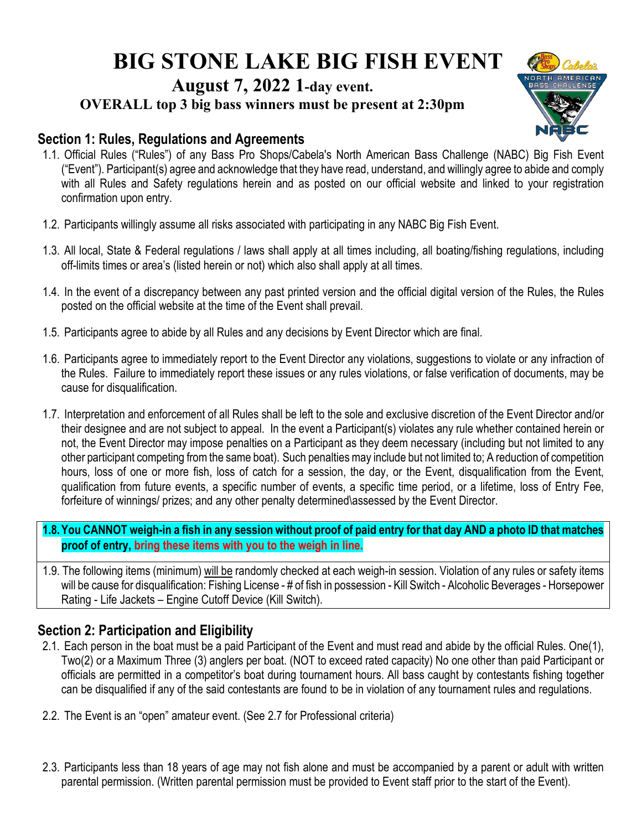# **BIG STONE LAKE BIG FISH EVENT**

## **August 7, 2022 1-day event.**

**OVERALL top 3 big bass winners must be present at 2:30pm**



#### **Section 1: Rules, Regulations and Agreements**

- 1.1. Official Rules ("Rules") of any Bass Pro Shops/Cabela's North American Bass Challenge (NABC) Big Fish Event ("Event"). Participant(s) agree and acknowledge that they have read, understand, and willingly agree to abide and comply with all Rules and Safety regulations herein and as posted on our official website and linked to your registration confirmation upon entry.
- 1.2. Participants willingly assume all risks associated with participating in any NABC Big Fish Event.
- 1.3. All local, State & Federal regulations / laws shall apply at all times including, all boating/fishing regulations, including off-limits times or area's (listed herein or not) which also shall apply at all times.
- 1.4. In the event of a discrepancy between any past printed version and the official digital version of the Rules, the Rules posted on the official website at the time of the Event shall prevail.
- 1.5. Participants agree to abide by all Rules and any decisions by Event Director which are final.
- 1.6. Participants agree to immediately report to the Event Director any violations, suggestions to violate or any infraction of the Rules. Failure to immediately report these issues or any rules violations, or false verification of documents, may be cause for disqualification.
- 1.7. Interpretation and enforcement of all Rules shall be left to the sole and exclusive discretion of the Event Director and/or their designee and are not subject to appeal. In the event a Participant(s) violates any rule whether contained herein or not, the Event Director may impose penalties on a Participant as they deem necessary (including but not limited to any other participant competing from the same boat). Such penalties may include but not limited to; A reduction of competition hours, loss of one or more fish, loss of catch for a session, the day, or the Event, disqualification from the Event, qualification from future events, a specific number of events, a specific time period, or a lifetime, loss of Entry Fee, forfeiture of winnings/ prizes; and any other penalty determined\assessed by the Event Director.

**1.8.You CANNOT weigh-in a fish in any session without proof of paid entry for that day AND a photo ID that matches proof of entry, bring these items with you to the weigh in line.** 

1.9. The following items (minimum) will be randomly checked at each weigh-in session. Violation of any rules or safety items will be cause for disqualification: Fishing License - # of fish in possession - Kill Switch - Alcoholic Beverages - Horsepower Rating - Life Jackets – Engine Cutoff Device (Kill Switch).

## **Section 2: Participation and Eligibility**

- 2.1. Each person in the boat must be a paid Participant of the Event and must read and abide by the official Rules. One(1), Two(2) or a Maximum Three (3) anglers per boat. (NOT to exceed rated capacity) No one other than paid Participant or officials are permitted in a competitor's boat during tournament hours. All bass caught by contestants fishing together can be disqualified if any of the said contestants are found to be in violation of any tournament rules and regulations.
- 2.2. The Event is an "open" amateur event. (See 2.7 for Professional criteria)
- 2.3. Participants less than 18 years of age may not fish alone and must be accompanied by a parent or adult with written parental permission. (Written parental permission must be provided to Event staff prior to the start of the Event).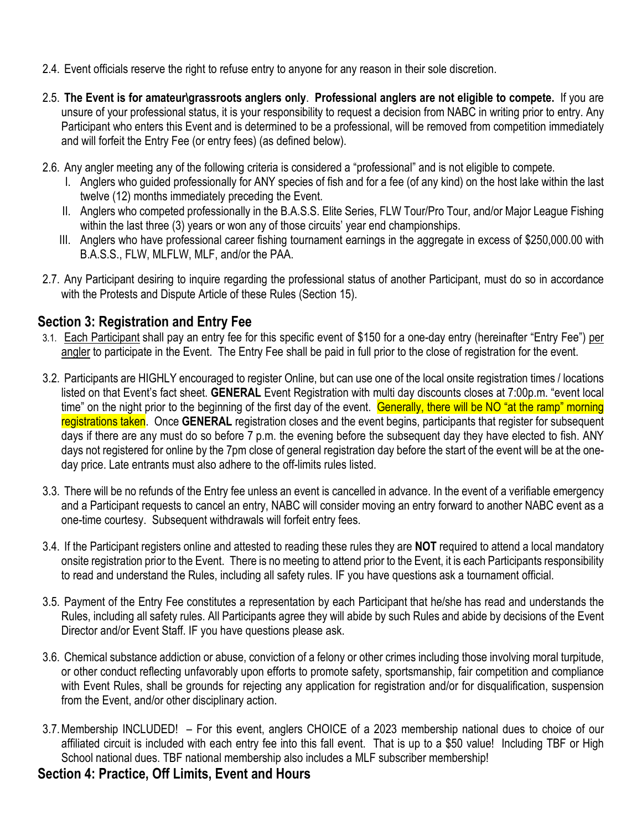- 2.4. Event officials reserve the right to refuse entry to anyone for any reason in their sole discretion.
- 2.5. **The Event is for amateur\grassroots anglers only**. **Professional anglers are not eligible to compete.** If you are unsure of your professional status, it is your responsibility to request a decision from NABC in writing prior to entry. Any Participant who enters this Event and is determined to be a professional, will be removed from competition immediately and will forfeit the Entry Fee (or entry fees) (as defined below).
- 2.6. Any angler meeting any of the following criteria is considered a "professional" and is not eligible to compete.
	- I. Anglers who guided professionally for ANY species of fish and for a fee (of any kind) on the host lake within the last twelve (12) months immediately preceding the Event.
	- II. Anglers who competed professionally in the B.A.S.S. Elite Series, FLW Tour/Pro Tour, and/or Major League Fishing within the last three (3) years or won any of those circuits' year end championships.
	- III. Anglers who have professional career fishing tournament earnings in the aggregate in excess of \$250,000.00 with B.A.S.S., FLW, MLFLW, MLF, and/or the PAA.
- 2.7. Any Participant desiring to inquire regarding the professional status of another Participant, must do so in accordance with the Protests and Dispute Article of these Rules (Section 15).

### **Section 3: Registration and Entry Fee**

- 3.1. Each Participant shall pay an entry fee for this specific event of \$150 for a one-day entry (hereinafter "Entry Fee") per angler to participate in the Event. The Entry Fee shall be paid in full prior to the close of registration for the event.
- 3.2. Participants are HIGHLY encouraged to register Online, but can use one of the local onsite registration times / locations listed on that Event's fact sheet. **GENERAL** Event Registration with multi day discounts closes at 7:00p.m. "event local time" on the night prior to the beginning of the first day of the event. Generally, there will be NO "at the ramp" morning registrations taken. Once **GENERAL** registration closes and the event begins, participants that register for subsequent days if there are any must do so before 7 p.m. the evening before the subsequent day they have elected to fish. ANY days not registered for online by the 7pm close of general registration day before the start of the event will be at the oneday price. Late entrants must also adhere to the off-limits rules listed.
- 3.3. There will be no refunds of the Entry fee unless an event is cancelled in advance. In the event of a verifiable emergency and a Participant requests to cancel an entry, NABC will consider moving an entry forward to another NABC event as a one-time courtesy. Subsequent withdrawals will forfeit entry fees.
- 3.4. If the Participant registers online and attested to reading these rules they are **NOT** required to attend a local mandatory onsite registration prior to the Event. There is no meeting to attend prior to the Event, it is each Participants responsibility to read and understand the Rules, including all safety rules. IF you have questions ask a tournament official.
- 3.5. Payment of the Entry Fee constitutes a representation by each Participant that he/she has read and understands the Rules, including all safety rules. All Participants agree they will abide by such Rules and abide by decisions of the Event Director and/or Event Staff. IF you have questions please ask.
- 3.6. Chemical substance addiction or abuse, conviction of a felony or other crimes including those involving moral turpitude, or other conduct reflecting unfavorably upon efforts to promote safety, sportsmanship, fair competition and compliance with Event Rules, shall be grounds for rejecting any application for registration and/or for disqualification, suspension from the Event, and/or other disciplinary action.
- 3.7.Membership INCLUDED! For this event, anglers CHOICE of a 2023 membership national dues to choice of our affiliated circuit is included with each entry fee into this fall event. That is up to a \$50 value! Including TBF or High School national dues. TBF national membership also includes a MLF subscriber membership!

### **Section 4: Practice, Off Limits, Event and Hours**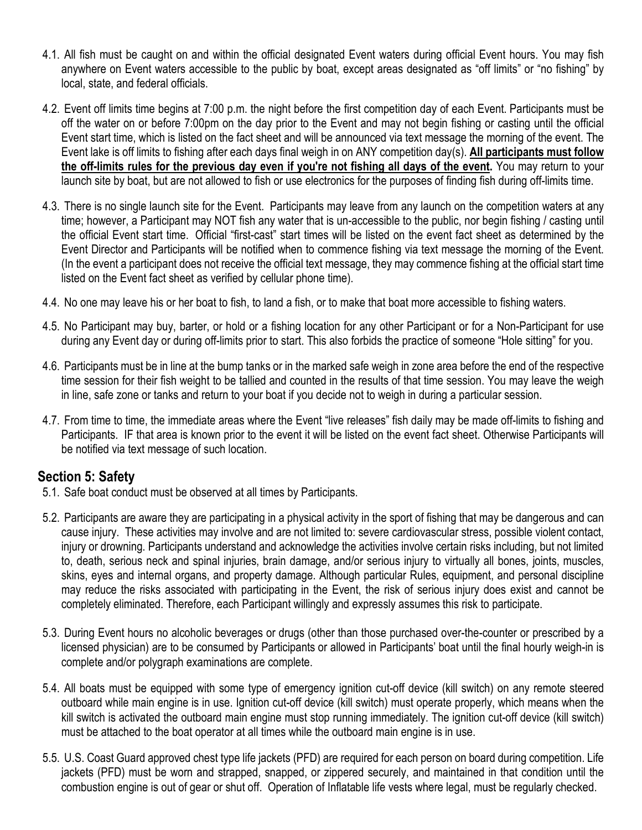- 4.1. All fish must be caught on and within the official designated Event waters during official Event hours. You may fish anywhere on Event waters accessible to the public by boat, except areas designated as "off limits" or "no fishing" by local, state, and federal officials.
- 4.2. Event off limits time begins at 7:00 p.m. the night before the first competition day of each Event. Participants must be off the water on or before 7:00pm on the day prior to the Event and may not begin fishing or casting until the official Event start time, which is listed on the fact sheet and will be announced via text message the morning of the event. The Event lake is off limits to fishing after each days final weigh in on ANY competition day(s). **All participants must follow the off-limits rules for the previous day even if you're not fishing all days of the event.** You may return to your launch site by boat, but are not allowed to fish or use electronics for the purposes of finding fish during off-limits time.
- 4.3. There is no single launch site for the Event. Participants may leave from any launch on the competition waters at any time; however, a Participant may NOT fish any water that is un-accessible to the public, nor begin fishing / casting until the official Event start time. Official "first-cast" start times will be listed on the event fact sheet as determined by the Event Director and Participants will be notified when to commence fishing via text message the morning of the Event. (In the event a participant does not receive the official text message, they may commence fishing at the official start time listed on the Event fact sheet as verified by cellular phone time).
- 4.4. No one may leave his or her boat to fish, to land a fish, or to make that boat more accessible to fishing waters.
- 4.5. No Participant may buy, barter, or hold or a fishing location for any other Participant or for a Non-Participant for use during any Event day or during off-limits prior to start. This also forbids the practice of someone "Hole sitting" for you.
- 4.6. Participants must be in line at the bump tanks or in the marked safe weigh in zone area before the end of the respective time session for their fish weight to be tallied and counted in the results of that time session. You may leave the weigh in line, safe zone or tanks and return to your boat if you decide not to weigh in during a particular session.
- 4.7. From time to time, the immediate areas where the Event "live releases" fish daily may be made off-limits to fishing and Participants. IF that area is known prior to the event it will be listed on the event fact sheet. Otherwise Participants will be notified via text message of such location.

### **Section 5: Safety**

- 5.1. Safe boat conduct must be observed at all times by Participants.
- 5.2. Participants are aware they are participating in a physical activity in the sport of fishing that may be dangerous and can cause injury. These activities may involve and are not limited to: severe cardiovascular stress, possible violent contact, injury or drowning. Participants understand and acknowledge the activities involve certain risks including, but not limited to, death, serious neck and spinal injuries, brain damage, and/or serious injury to virtually all bones, joints, muscles, skins, eyes and internal organs, and property damage. Although particular Rules, equipment, and personal discipline may reduce the risks associated with participating in the Event, the risk of serious injury does exist and cannot be completely eliminated. Therefore, each Participant willingly and expressly assumes this risk to participate.
- 5.3. During Event hours no alcoholic beverages or drugs (other than those purchased over-the-counter or prescribed by a licensed physician) are to be consumed by Participants or allowed in Participants' boat until the final hourly weigh-in is complete and/or polygraph examinations are complete.
- 5.4. All boats must be equipped with some type of emergency ignition cut-off device (kill switch) on any remote steered outboard while main engine is in use. Ignition cut-off device (kill switch) must operate properly, which means when the kill switch is activated the outboard main engine must stop running immediately. The ignition cut-off device (kill switch) must be attached to the boat operator at all times while the outboard main engine is in use.
- 5.5. U.S. Coast Guard approved chest type life jackets (PFD) are required for each person on board during competition. Life jackets (PFD) must be worn and strapped, snapped, or zippered securely, and maintained in that condition until the combustion engine is out of gear or shut off. Operation of Inflatable life vests where legal, must be regularly checked.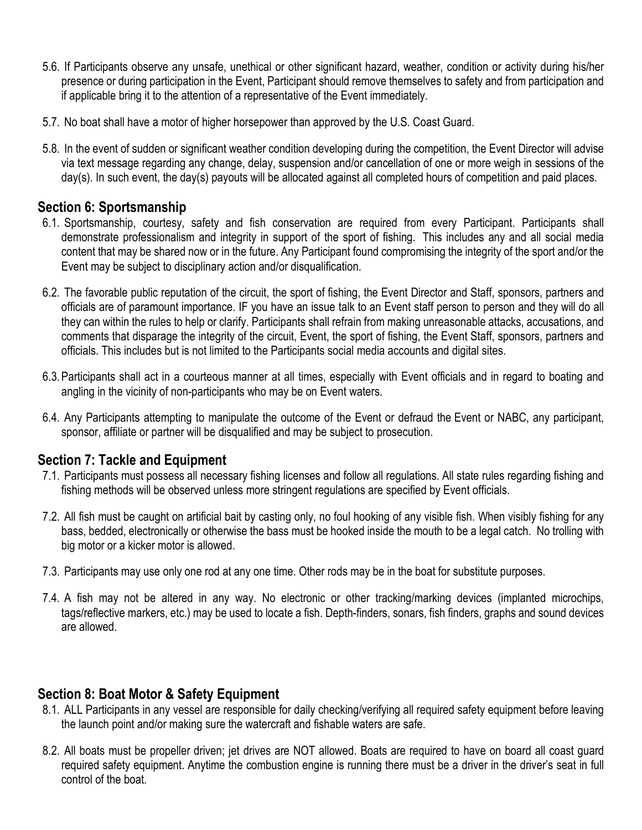- 5.6. If Participants observe any unsafe, unethical or other significant hazard, weather, condition or activity during his/her presence or during participation in the Event, Participant should remove themselves to safety and from participation and if applicable bring it to the attention of a representative of the Event immediately.
- 5.7. No boat shall have a motor of higher horsepower than approved by the U.S. Coast Guard.
- 5.8. In the event of sudden or significant weather condition developing during the competition, the Event Director will advise via text message regarding any change, delay, suspension and/or cancellation of one or more weigh in sessions of the day(s). In such event, the day(s) payouts will be allocated against all completed hours of competition and paid places.

#### **Section 6: Sportsmanship**

- 6.1. Sportsmanship, courtesy, safety and fish conservation are required from every Participant. Participants shall demonstrate professionalism and integrity in support of the sport of fishing. This includes any and all social media content that may be shared now or in the future. Any Participant found compromising the integrity of the sport and/or the Event may be subject to disciplinary action and/or disqualification.
- 6.2. The favorable public reputation of the circuit, the sport of fishing, the Event Director and Staff, sponsors, partners and officials are of paramount importance. IF you have an issue talk to an Event staff person to person and they will do all they can within the rules to help or clarify. Participants shall refrain from making unreasonable attacks, accusations, and comments that disparage the integrity of the circuit, Event, the sport of fishing, the Event Staff, sponsors, partners and officials. This includes but is not limited to the Participants social media accounts and digital sites.
- 6.3.Participants shall act in a courteous manner at all times, especially with Event officials and in regard to boating and angling in the vicinity of non-participants who may be on Event waters.
- 6.4. Any Participants attempting to manipulate the outcome of the Event or defraud the Event or NABC, any participant, sponsor, affiliate or partner will be disqualified and may be subject to prosecution.

### **Section 7: Tackle and Equipment**

- 7.1. Participants must possess all necessary fishing licenses and follow all regulations. All state rules regarding fishing and fishing methods will be observed unless more stringent regulations are specified by Event officials.
- 7.2. All fish must be caught on artificial bait by casting only, no foul hooking of any visible fish. When visibly fishing for any bass, bedded, electronically or otherwise the bass must be hooked inside the mouth to be a legal catch. No trolling with big motor or a kicker motor is allowed.
- 7.3. Participants may use only one rod at any one time. Other rods may be in the boat for substitute purposes.
- 7.4. A fish may not be altered in any way. No electronic or other tracking/marking devices (implanted microchips, tags/reflective markers, etc.) may be used to locate a fish. Depth-finders, sonars, fish finders, graphs and sound devices are allowed.

#### **Section 8: Boat Motor & Safety Equipment**

- 8.1. ALL Participants in any vessel are responsible for daily checking/verifying all required safety equipment before leaving the launch point and/or making sure the watercraft and fishable waters are safe.
- 8.2. All boats must be propeller driven; jet drives are NOT allowed. Boats are required to have on board all coast guard required safety equipment. Anytime the combustion engine is running there must be a driver in the driver's seat in full control of the boat.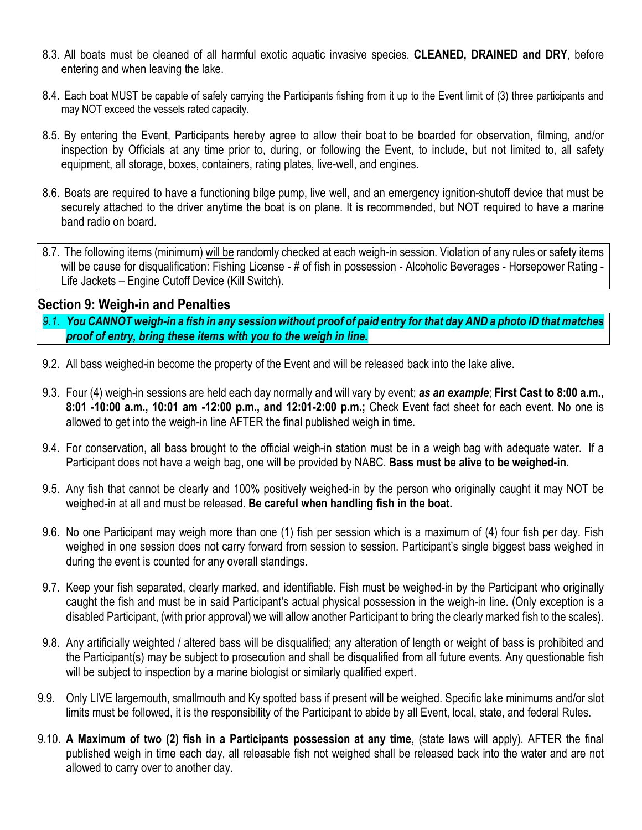- 8.3. All boats must be cleaned of all harmful exotic aquatic invasive species. **CLEANED, DRAINED and DRY**, before entering and when leaving the lake.
- 8.4. Each boat MUST be capable of safely carrying the Participants fishing from it up to the Event limit of (3) three participants and may NOT exceed the vessels rated capacity.
- 8.5. By entering the Event, Participants hereby agree to allow their boat to be boarded for observation, filming, and/or inspection by Officials at any time prior to, during, or following the Event, to include, but not limited to, all safety equipment, all storage, boxes, containers, rating plates, live-well, and engines.
- 8.6. Boats are required to have a functioning bilge pump, live well, and an emergency ignition-shutoff device that must be securely attached to the driver anytime the boat is on plane. It is recommended, but NOT required to have a marine band radio on board.
- 8.7. The following items (minimum) will be randomly checked at each weigh-in session. Violation of any rules or safety items will be cause for disqualification: Fishing License - # of fish in possession - Alcoholic Beverages - Horsepower Rating -Life Jackets – Engine Cutoff Device (Kill Switch).

#### **Section 9: Weigh-in and Penalties**

- *9.1. You CANNOT weigh-in a fish in any session without proof of paid entry for that day AND a photo ID that matches proof of entry, bring these items with you to the weigh in line.*
- 9.2. All bass weighed-in become the property of the Event and will be released back into the lake alive.
- 9.3. Four (4) weigh-in sessions are held each day normally and will vary by event; *as an example*; **First Cast to 8:00 a.m., 8:01 -10:00 a.m., 10:01 am -12:00 p.m., and 12:01-2:00 p.m.;** Check Event fact sheet for each event. No one is allowed to get into the weigh-in line AFTER the final published weigh in time.
- 9.4. For conservation, all bass brought to the official weigh-in station must be in a weigh bag with adequate water. If a Participant does not have a weigh bag, one will be provided by NABC. **Bass must be alive to be weighed-in.**
- 9.5. Any fish that cannot be clearly and 100% positively weighed-in by the person who originally caught it may NOT be weighed-in at all and must be released. **Be careful when handling fish in the boat.**
- 9.6. No one Participant may weigh more than one (1) fish per session which is a maximum of (4) four fish per day. Fish weighed in one session does not carry forward from session to session. Participant's single biggest bass weighed in during the event is counted for any overall standings.
- 9.7. Keep your fish separated, clearly marked, and identifiable. Fish must be weighed-in by the Participant who originally caught the fish and must be in said Participant's actual physical possession in the weigh-in line. (Only exception is a disabled Participant, (with prior approval) we will allow another Participant to bring the clearly marked fish to the scales).
- 9.8. Any artificially weighted / altered bass will be disqualified; any alteration of length or weight of bass is prohibited and the Participant(s) may be subject to prosecution and shall be disqualified from all future events. Any questionable fish will be subject to inspection by a marine biologist or similarly qualified expert.
- 9.9. Only LIVE largemouth, smallmouth and Ky spotted bass if present will be weighed. Specific lake minimums and/or slot limits must be followed, it is the responsibility of the Participant to abide by all Event, local, state, and federal Rules.
- 9.10. **A Maximum of two (2) fish in a Participants possession at any time**, (state laws will apply). AFTER the final published weigh in time each day, all releasable fish not weighed shall be released back into the water and are not allowed to carry over to another day.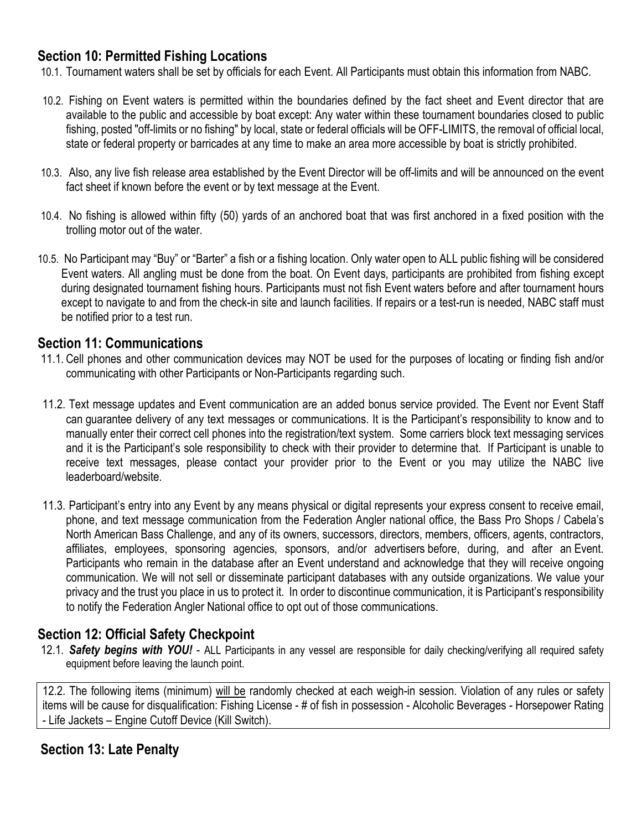#### **Section 10: Permitted Fishing Locations**

10.1. Tournament waters shall be set by officials for each Event. All Participants must obtain this information from NABC.

- 10.2. Fishing on Event waters is permitted within the boundaries defined by the fact sheet and Event director that are available to the public and accessible by boat except: Any water within these tournament boundaries closed to public fishing, posted "off-limits or no fishing" by local, state or federal officials will be OFF-LIMITS, the removal of official local, state or federal property or barricades at any time to make an area more accessible by boat is strictly prohibited.
- 10.3. Also, any live fish release area established by the Event Director will be off-limits and will be announced on the event fact sheet if known before the event or by text message at the Event.
- 10.4. No fishing is allowed within fifty (50) yards of an anchored boat that was first anchored in a fixed position with the trolling motor out of the water.
- 10.5. No Participant may "Buy" or "Barter" a fish or a fishing location. Only water open to ALL public fishing will be considered Event waters. All angling must be done from the boat. On Event days, participants are prohibited from fishing except during designated tournament fishing hours. Participants must not fish Event waters before and after tournament hours except to navigate to and from the check-in site and launch facilities. If repairs or a test-run is needed, NABC staff must be notified prior to a test run.

#### **Section 11: Communications**

- 11.1. Cell phones and other communication devices may NOT be used for the purposes of locating or finding fish and/or communicating with other Participants or Non-Participants regarding such.
- 11.2. Text message updates and Event communication are an added bonus service provided. The Event nor Event Staff can guarantee delivery of any text messages or communications. It is the Participant's responsibility to know and to manually enter their correct cell phones into the registration/text system. Some carriers block text messaging services and it is the Participant's sole responsibility to check with their provider to determine that. If Participant is unable to receive text messages, please contact your provider prior to the Event or you may utilize the NABC live leaderboard/website.
- 11.3. Participant's entry into any Event by any means physical or digital represents your express consent to receive email, phone, and text message communication from the Federation Angler national office, the Bass Pro Shops / Cabela's North American Bass Challenge, and any of its owners, successors, directors, members, officers, agents, contractors, affiliates, employees, sponsoring agencies, sponsors, and/or advertisers before, during, and after an Event. Participants who remain in the database after an Event understand and acknowledge that they will receive ongoing communication. We will not sell or disseminate participant databases with any outside organizations. We value your privacy and the trust you place in us to protect it. In order to discontinue communication, it is Participant's responsibility to notify the Federation Angler National office to opt out of those communications.

## **Section 12: Official Safety Checkpoint**

12.1. *Safety begins with YOU!* - ALL Participants in any vessel are responsible for daily checking/verifying all required safety equipment before leaving the launch point.

12.2. The following items (minimum) will be randomly checked at each weigh-in session. Violation of any rules or safety items will be cause for disqualification: Fishing License - # of fish in possession - Alcoholic Beverages - Horsepower Rating - Life Jackets – Engine Cutoff Device (Kill Switch).

### **Section 13: Late Penalty**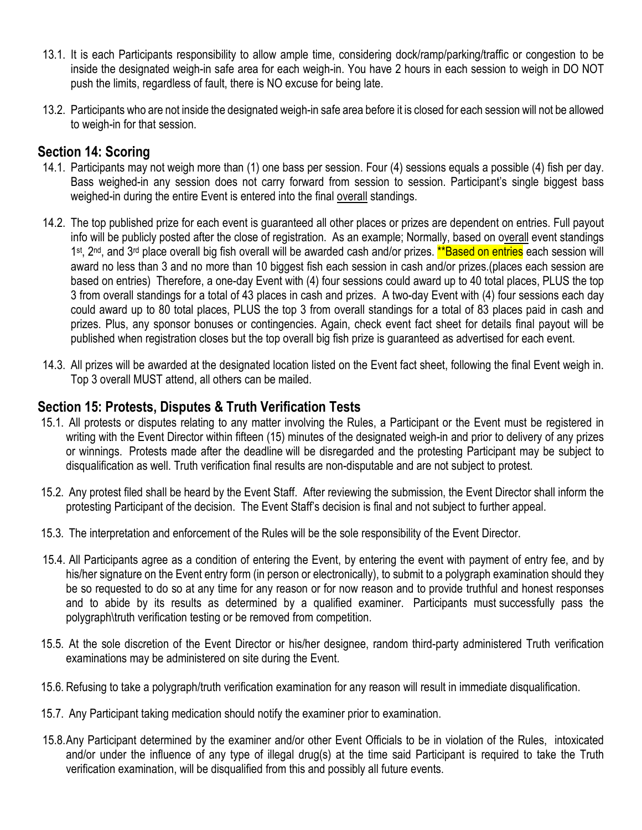- 13.1. It is each Participants responsibility to allow ample time, considering dock/ramp/parking/traffic or congestion to be inside the designated weigh-in safe area for each weigh-in. You have 2 hours in each session to weigh in DO NOT push the limits, regardless of fault, there is NO excuse for being late.
- 13.2. Participants who are not inside the designated weigh-in safe area before it is closed for each session will not be allowed to weigh-in for that session.

#### **Section 14: Scoring**

- 14.1. Participants may not weigh more than (1) one bass per session. Four (4) sessions equals a possible (4) fish per day. Bass weighed-in any session does not carry forward from session to session. Participant's single biggest bass weighed-in during the entire Event is entered into the final overall standings.
- 14.2. The top published prize for each event is guaranteed all other places or prizes are dependent on entries. Full payout info will be publicly posted after the close of registration. As an example; Normally, based on overall event standings 1<sup>st</sup>, 2<sup>nd</sup>, and 3<sup>rd</sup> place overall big fish overall will be awarded cash and/or prizes. \*\*Based on entries each session will award no less than 3 and no more than 10 biggest fish each session in cash and/or prizes.(places each session are based on entries) Therefore, a one-day Event with (4) four sessions could award up to 40 total places, PLUS the top 3 from overall standings for a total of 43 places in cash and prizes. A two-day Event with (4) four sessions each day could award up to 80 total places, PLUS the top 3 from overall standings for a total of 83 places paid in cash and prizes. Plus, any sponsor bonuses or contingencies. Again, check event fact sheet for details final payout will be published when registration closes but the top overall big fish prize is guaranteed as advertised for each event.
- 14.3. All prizes will be awarded at the designated location listed on the Event fact sheet, following the final Event weigh in. Top 3 overall MUST attend, all others can be mailed.

#### **Section 15: Protests, Disputes & Truth Verification Tests**

- 15.1. All protests or disputes relating to any matter involving the Rules, a Participant or the Event must be registered in writing with the Event Director within fifteen (15) minutes of the designated weigh-in and prior to delivery of any prizes or winnings. Protests made after the deadline will be disregarded and the protesting Participant may be subject to disqualification as well. Truth verification final results are non-disputable and are not subject to protest.
- 15.2. Any protest filed shall be heard by the Event Staff. After reviewing the submission, the Event Director shall inform the protesting Participant of the decision. The Event Staff's decision is final and not subject to further appeal.
- 15.3. The interpretation and enforcement of the Rules will be the sole responsibility of the Event Director.
- 15.4. All Participants agree as a condition of entering the Event, by entering the event with payment of entry fee, and by his/her signature on the Event entry form (in person or electronically), to submit to a polygraph examination should they be so requested to do so at any time for any reason or for now reason and to provide truthful and honest responses and to abide by its results as determined by a qualified examiner. Participants must successfully pass the polygraph\truth verification testing or be removed from competition.
- 15.5. At the sole discretion of the Event Director or his/her designee, random third-party administered Truth verification examinations may be administered on site during the Event.
- 15.6. Refusing to take a polygraph/truth verification examination for any reason will result in immediate disqualification.
- 15.7. Any Participant taking medication should notify the examiner prior to examination.
- 15.8.Any Participant determined by the examiner and/or other Event Officials to be in violation of the Rules, intoxicated and/or under the influence of any type of illegal drug(s) at the time said Participant is required to take the Truth verification examination, will be disqualified from this and possibly all future events.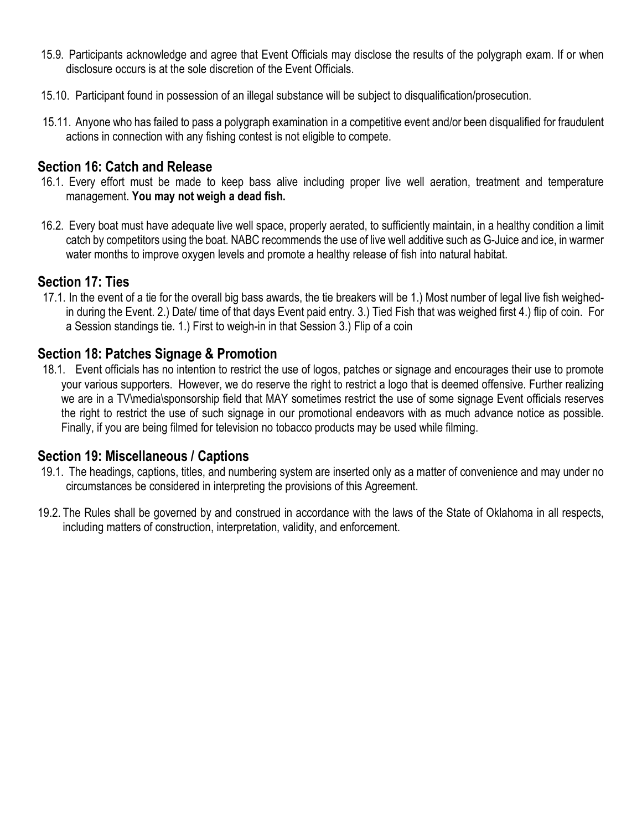- 15.9. Participants acknowledge and agree that Event Officials may disclose the results of the polygraph exam. If or when disclosure occurs is at the sole discretion of the Event Officials.
- 15.10. Participant found in possession of an illegal substance will be subject to disqualification/prosecution.
- 15.11. Anyone who has failed to pass a polygraph examination in a competitive event and/or been disqualified for fraudulent actions in connection with any fishing contest is not eligible to compete.

#### **Section 16: Catch and Release**

- 16.1. Every effort must be made to keep bass alive including proper live well aeration, treatment and temperature management. **You may not weigh a dead fish.**
- 16.2. Every boat must have adequate live well space, properly aerated, to sufficiently maintain, in a healthy condition a limit catch by competitors using the boat. NABC recommends the use of live well additive such as G-Juice and ice, in warmer water months to improve oxygen levels and promote a healthy release of fish into natural habitat.

#### **Section 17: Ties**

17.1. In the event of a tie for the overall big bass awards, the tie breakers will be 1.) Most number of legal live fish weighedin during the Event. 2.) Date/ time of that days Event paid entry. 3.) Tied Fish that was weighed first 4.) flip of coin. For a Session standings tie. 1.) First to weigh-in in that Session 3.) Flip of a coin

#### **Section 18: Patches Signage & Promotion**

18.1. Event officials has no intention to restrict the use of logos, patches or signage and encourages their use to promote your various supporters. However, we do reserve the right to restrict a logo that is deemed offensive. Further realizing we are in a TV\media\sponsorship field that MAY sometimes restrict the use of some signage Event officials reserves the right to restrict the use of such signage in our promotional endeavors with as much advance notice as possible. Finally, if you are being filmed for television no tobacco products may be used while filming.

#### **Section 19: Miscellaneous / Captions**

- 19.1. The headings, captions, titles, and numbering system are inserted only as a matter of convenience and may under no circumstances be considered in interpreting the provisions of this Agreement.
- 19.2. The Rules shall be governed by and construed in accordance with the laws of the State of Oklahoma in all respects, including matters of construction, interpretation, validity, and enforcement.